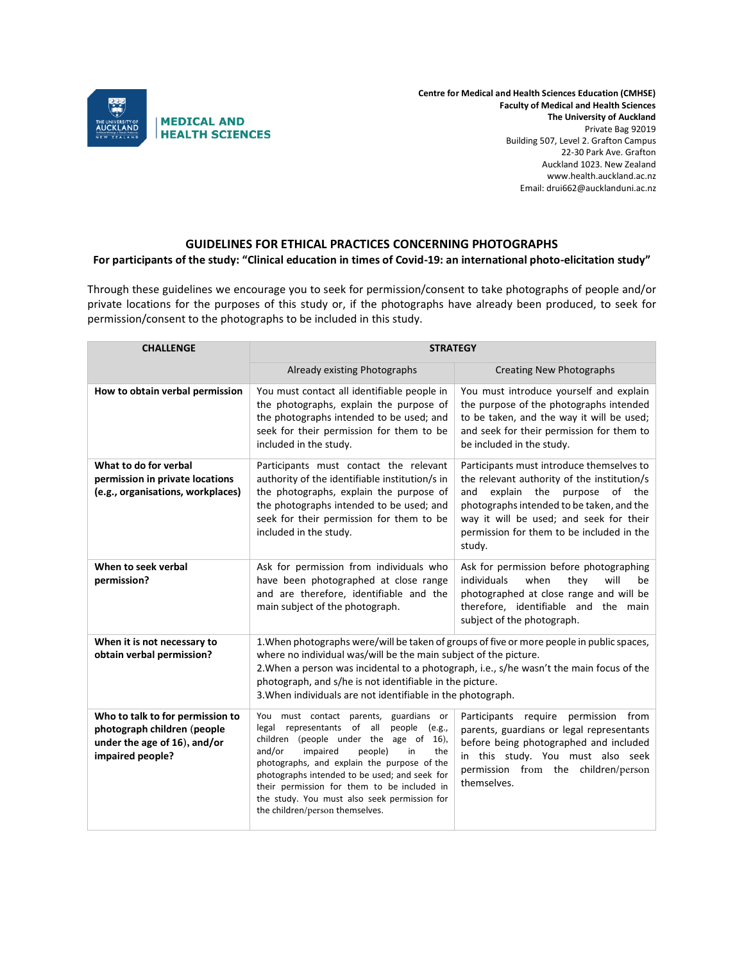

**Centre for Medical and Health Sciences Education (CMHSE) Faculty of Medical and Health Sciences The University of Auckland** Private Bag 92019 Building 507, Level 2. Grafton Campus 22-30 Park Ave. Grafton Auckland 1023. New Zealand www.health.auckland.ac.nz Email: drui662@aucklanduni.ac.nz

## **GUIDELINES FOR ETHICAL PRACTICES CONCERNING PHOTOGRAPHS**

## **For participants of the study: "Clinical education in times of Covid-19: an international photo-elicitation study"**

Through these guidelines we encourage you to seek for permission/consent to take photographs of people and/or private locations for the purposes of this study or, if the photographs have already been produced, to seek for permission/consent to the photographs to be included in this study.

| <b>CHALLENGE</b>                                                                                                    | <b>STRATEGY</b>                                                                                                                                                                                                                                                                                                                                                                                                    |                                                                                                                                                                                                                                                                              |  |
|---------------------------------------------------------------------------------------------------------------------|--------------------------------------------------------------------------------------------------------------------------------------------------------------------------------------------------------------------------------------------------------------------------------------------------------------------------------------------------------------------------------------------------------------------|------------------------------------------------------------------------------------------------------------------------------------------------------------------------------------------------------------------------------------------------------------------------------|--|
|                                                                                                                     | Already existing Photographs                                                                                                                                                                                                                                                                                                                                                                                       | <b>Creating New Photographs</b>                                                                                                                                                                                                                                              |  |
| How to obtain verbal permission                                                                                     | You must contact all identifiable people in<br>the photographs, explain the purpose of<br>the photographs intended to be used; and<br>seek for their permission for them to be<br>included in the study.                                                                                                                                                                                                           | You must introduce yourself and explain<br>the purpose of the photographs intended<br>to be taken, and the way it will be used;<br>and seek for their permission for them to<br>be included in the study.                                                                    |  |
| What to do for verbal<br>permission in private locations<br>(e.g., organisations, workplaces)                       | Participants must contact the relevant<br>authority of the identifiable institution/s in<br>the photographs, explain the purpose of<br>the photographs intended to be used; and<br>seek for their permission for them to be<br>included in the study.                                                                                                                                                              | Participants must introduce themselves to<br>the relevant authority of the institution/s<br>explain the purpose of the<br>and<br>photographs intended to be taken, and the<br>way it will be used; and seek for their<br>permission for them to be included in the<br>study. |  |
| When to seek verbal<br>permission?                                                                                  | Ask for permission from individuals who<br>have been photographed at close range<br>and are therefore, identifiable and the<br>main subject of the photograph.                                                                                                                                                                                                                                                     | Ask for permission before photographing<br>individuals<br>when<br>they<br>will<br>be<br>photographed at close range and will be<br>therefore, identifiable and the main<br>subject of the photograph.                                                                        |  |
| When it is not necessary to<br>obtain verbal permission?                                                            | 1. When photographs were/will be taken of groups of five or more people in public spaces,<br>where no individual was/will be the main subject of the picture.<br>2. When a person was incidental to a photograph, i.e., s/he wasn't the main focus of the<br>photograph, and s/he is not identifiable in the picture.<br>3. When individuals are not identifiable in the photograph.                               |                                                                                                                                                                                                                                                                              |  |
| Who to talk to for permission to<br>photograph children (people<br>under the age of 16), and/or<br>impaired people? | guardians or<br>You must contact parents,<br>legal representants of all<br>people (e.g.,<br>children (people under the age of 16),<br>the<br>and/or<br>impaired<br>people)<br>in<br>photographs, and explain the purpose of the<br>photographs intended to be used; and seek for<br>their permission for them to be included in<br>the study. You must also seek permission for<br>the children/person themselves. | Participants require permission from<br>parents, guardians or legal representants<br>before being photographed and included<br>in this study. You must also seek<br>permission from the children/person<br>themselves.                                                       |  |